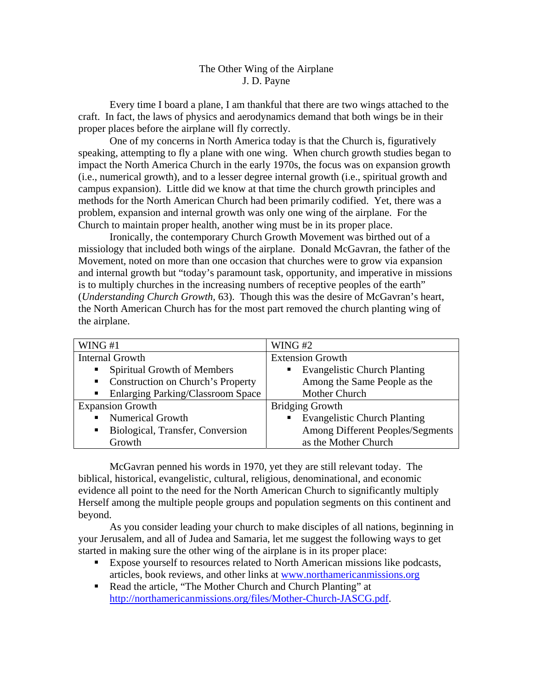## The Other Wing of the Airplane J. D. Payne

 Every time I board a plane, I am thankful that there are two wings attached to the craft. In fact, the laws of physics and aerodynamics demand that both wings be in their proper places before the airplane will fly correctly.

 One of my concerns in North America today is that the Church is, figuratively speaking, attempting to fly a plane with one wing. When church growth studies began to impact the North America Church in the early 1970s, the focus was on expansion growth (i.e., numerical growth), and to a lesser degree internal growth (i.e., spiritual growth and campus expansion). Little did we know at that time the church growth principles and methods for the North American Church had been primarily codified. Yet, there was a problem, expansion and internal growth was only one wing of the airplane. For the Church to maintain proper health, another wing must be in its proper place.

 Ironically, the contemporary Church Growth Movement was birthed out of a missiology that included both wings of the airplane. Donald McGavran, the father of the Movement, noted on more than one occasion that churches were to grow via expansion and internal growth but "today's paramount task, opportunity, and imperative in missions is to multiply churches in the increasing numbers of receptive peoples of the earth" (*Understanding Church Growth,* 63). Though this was the desire of McGavran's heart, the North American Church has for the most part removed the church planting wing of the airplane.

| WING $#1$                                                  | WING#2                                                  |
|------------------------------------------------------------|---------------------------------------------------------|
| <b>Internal Growth</b>                                     | <b>Extension Growth</b>                                 |
| <b>Spiritual Growth of Members</b><br>$\blacksquare$       | <b>Evangelistic Church Planting</b><br>$\blacksquare$ . |
| • Construction on Church's Property                        | Among the Same People as the                            |
| <b>Enlarging Parking/Classroom Space</b><br>$\blacksquare$ | Mother Church                                           |
| <b>Expansion Growth</b>                                    | <b>Bridging Growth</b>                                  |
| • Numerical Growth                                         | <b>Evangelistic Church Planting</b><br>$\blacksquare$   |
| Biological, Transfer, Conversion<br>$\blacksquare$ .       | Among Different Peoples/Segments                        |
| Growth                                                     | as the Mother Church                                    |

McGavran penned his words in 1970, yet they are still relevant today. The biblical, historical, evangelistic, cultural, religious, denominational, and economic evidence all point to the need for the North American Church to significantly multiply Herself among the multiple people groups and population segments on this continent and beyond.

As you consider leading your church to make disciples of all nations, beginning in your Jerusalem, and all of Judea and Samaria, let me suggest the following ways to get started in making sure the other wing of the airplane is in its proper place:

- Expose yourself to resources related to North American missions like podcasts, articles, book reviews, and other links at [www.northamericanmissions.org](http://www.northamericanmissions.org/)
- Read the article, "The Mother Church and Church Planting" at [http://northamericanmissions.org/files/Mother-Church-JASCG.pdf.](http://northamericanmissions.org/files/Mother-Church-JASCG.pdf)